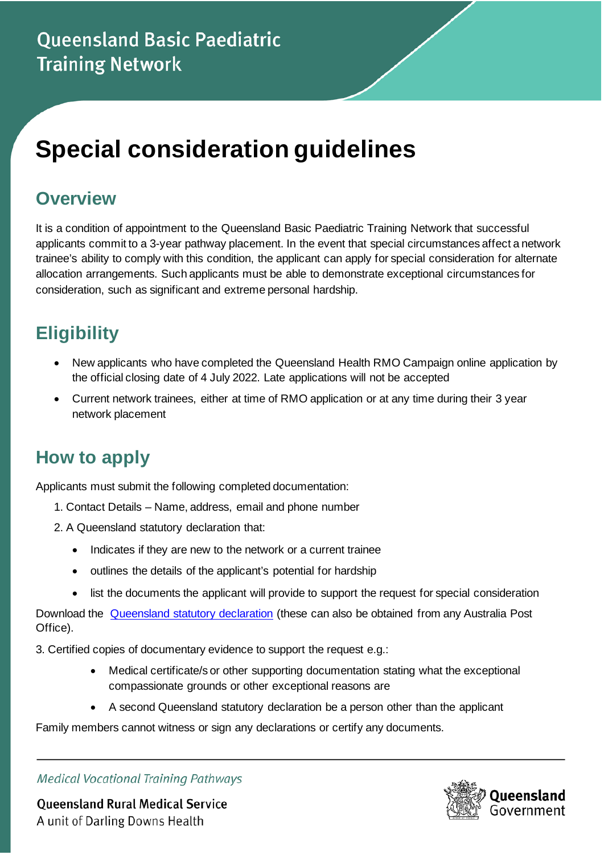# **Special consideration guidelines**

#### **Overview**

It is a condition of appointment to the Queensland Basic Paediatric Training Network that successful applicants commit to a 3-year pathway placement. In the event that special circumstances affect a network trainee's ability to comply with this condition, the applicant can apply for special consideration for alternate allocation arrangements. Such applicants must be able to demonstrate exceptional circumstances for consideration, such as significant and extreme personal hardship.

## **Eligibility**

- New applicants who have completed the Queensland Health RMO Campaign online application by the official closing date of 4 July 2022. Late applications will not be accepted
- Current network trainees, either at time of RMO application or at any time during their 3 year network placement

## **How to apply**

Applicants must submit the following completed documentation:

- 1. Contact Details Name, address, email and phone number
- 2. A Queensland statutory declaration that:
	- Indicates if they are new to the network or a current trainee
	- outlines the details of the applicant's potential for hardship
	- list the documents the applicant will provide to support the request for special consideration

Download the [Queensland statutory declaration](https://www.publications.qld.gov.au/dataset/statutory-declaration) (these can also be obtained from any Australia Post Office).

3. Certified copies of documentary evidence to support the request e.g.:

- Medical certificate/s or other supporting documentation stating what the exceptional compassionate grounds or other exceptional reasons are
- A second Queensland statutory declaration be a person other than the applicant

Family members cannot witness or sign any declarations or certify any documents.



**Queensland Rural Medical Service** A unit of Darling Downs Health